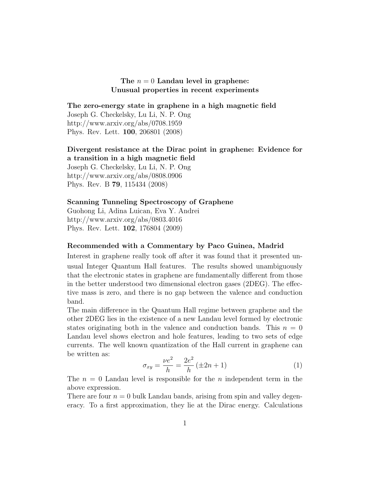## The  $n = 0$  Landau level in graphene: Unusual properties in recent experiments

The zero-energy state in graphene in a high magnetic field Joseph G. Checkelsky, Lu Li, N. P. Ong

http://www.arxiv.org/abs/0708.1959 Phys. Rev. Lett. 100, 206801 (2008)

## Divergent resistance at the Dirac point in graphene: Evidence for a transition in a high magnetic field

Joseph G. Checkelsky, Lu Li, N. P. Ong http://www.arxiv.org/abs/0808.0906 Phys. Rev. B 79, 115434 (2008)

## Scanning Tunneling Spectroscopy of Graphene

Guohong Li, Adina Luican, Eva Y. Andrei http://www.arxiv.org/abs/0803.4016 Phys. Rev. Lett. 102, 176804 (2009)

## Recommended with a Commentary by Paco Guinea, Madrid

Interest in graphene really took off after it was found that it presented unusual Integer Quantum Hall features. The results showed unambiguously that the electronic states in graphene are fundamentally different from those in the better understood two dimensional electron gases (2DEG). The effective mass is zero, and there is no gap between the valence and conduction band.

The main difference in the Quantum Hall regime between graphene and the other 2DEG lies in the existence of a new Landau level formed by electronic states originating both in the valence and conduction bands. This  $n = 0$ Landau level shows electron and hole features, leading to two sets of edge currents. The well known quantization of the Hall current in graphene can be written as:

$$
\sigma_{xy} = \frac{\nu e^2}{h} = \frac{2e^2}{h} (\pm 2n + 1)
$$
 (1)

The  $n = 0$  Landau level is responsible for the n independent term in the above expression.

There are four  $n = 0$  bulk Landau bands, arising from spin and valley degeneracy. To a first approximation, they lie at the Dirac energy. Calculations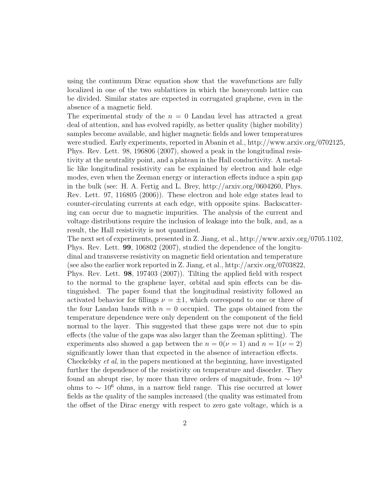using the continuum Dirac equation show that the wavefunctions are fully localized in one of the two sublattices in which the honeycomb lattice can be divided. Similar states are expected in corrugated graphene, even in the absence of a magnetic field.

The experimental study of the  $n = 0$  Landau level has attracted a great deal of attention, and has evolved rapidly, as better quality (higher mobility) samples become available, and higher magnetic fields and lower temperatures were studied. Early experiments, reported in Abanin et al., http://www.arxiv.org/0702125, Phys. Rev. Lett. 98, 196806 (2007), showed a peak in the longitudinal resistivity at the neutrality point, and a plateau in the Hall conductivity. A metallic like longitudinal resistivity can be explained by electron and hole edge modes, even when the Zeeman energy or interaction effects induce a spin gap in the bulk (see: H. A. Fertig and L. Brey, http://arxiv.org/0604260, Phys. Rev. Lett. 97, 116805 (2006)). These electron and hole edge states lead to counter-circulating currents at each edge, with opposite spins. Backscattering can occur due to magnetic impurities. The analysis of the current and voltage distributions require the inclusion of leakage into the bulk, and, as a result, the Hall resistivity is not quantized.

The next set of experiments, presented in Z. Jiang, et al., http://www.arxiv.org/0705.1102, Phys. Rev. Lett. 99, 106802 (2007), studied the dependence of the longitudinal and transverse resistivity on magnetic field orientation and temperature (see also the earlier work reported in Z. Jiang, et al., http://arxiv.org/0703822, Phys. Rev. Lett. 98, 197403 (2007)). Tilting the applied field with respect to the normal to the graphene layer, orbital and spin effects can be distinguished. The paper found that the longitudinal resistivity followed an activated behavior for fillings  $\nu = \pm 1$ , which correspond to one or three of the four Landau bands with  $n = 0$  occupied. The gaps obtained from the temperature dependence were only dependent on the component of the field normal to the layer. This suggested that these gaps were not due to spin effects (the value of the gaps was also larger than the Zeeman splitting). The experiments also showed a gap between the  $n = 0(\nu = 1)$  and  $n = 1(\nu = 2)$ significantly lower than that expected in the absence of interaction effects. Checkelsky et al, in the papers mentioned at the beginning, have investigated further the dependence of the resistivity on temperature and disorder. They found an abrupt rise, by more than three orders of magnitude, from  $\sim 10^3$ ohms to  $\sim 10^6$  ohms, in a narrow field range. This rise occurred at lower fields as the quality of the samples increased (the quality was estimated from the offset of the Dirac energy with respect to zero gate voltage, which is a